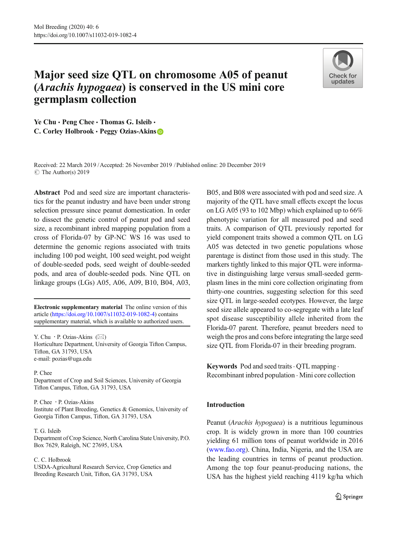# Major seed size QTL on chromosome A05 of peanut (Arachis hypogaea) is conserved in the US mini core germplasm collection



Ye Chu · Peng Chee · Thomas G. Isleib · C. Corley Holbrook · Peggy Ozias-Akins

Received: 22 March 2019 /Accepted: 26 November 2019 /Published online: 20 December 2019 $\circ$  The Author(s) 2019

Abstract Pod and seed size are important characteristics for the peanut industry and have been under strong selection pressure since peanut domestication. In order to dissect the genetic control of peanut pod and seed size, a recombinant inbred mapping population from a cross of Florida-07 by GP-NC WS 16 was used to determine the genomic regions associated with traits including 100 pod weight, 100 seed weight, pod weight of double-seeded pods, seed weight of double-seeded pods, and area of double-seeded pods. Nine QTL on linkage groups (LGs) A05, A06, A09, B10, B04, A03,

Electronic supplementary material The online version of this article (https://doi.org/10.1007/s11032-019-1082-4) contains supplementary material, which is available to authorized users.

Y. Chu  $\cdot$  P. Ozias-Akins ( $\boxtimes$ ) Horticulture Department, University of Georgia Tifton Campus, Tifton, GA 31793, USA e-mail: pozias@uga.edu

#### P. Chee

Department of Crop and Soil Sciences, University of Georgia Tifton Campus, Tifton, GA 31793, USA

P. Chee : P. Ozias-Akins Institute of Plant Breeding, Genetics & Genomics, University of

Georgia Tifton Campus, Tifton, GA 31793, USA

#### T. G. Isleib

Department of Crop Science, North Carolina State University, P.O. Box 7629, Raleigh, NC 27695, USA

#### C. C. Holbrook

USDA-Agricultural Research Service, Crop Genetics and Breeding Research Unit, Tifton, GA 31793, USA

B05, and B08 were associated with pod and seed size. A majority of the QTL have small effects except the locus on LG A05 (93 to 102 Mbp) which explained up to 66% phenotypic variation for all measured pod and seed traits. A comparison of QTL previously reported for yield component traits showed a common QTL on LG A05 was detected in two genetic populations whose parentage is distinct from those used in this study. The markers tightly linked to this major QTL were informative in distinguishing large versus small-seeded germplasm lines in the mini core collection originating from thirty-one countries, suggesting selection for this seed size QTL in large-seeded ecotypes. However, the large seed size allele appeared to co-segregate with a late leaf spot disease susceptibility allele inherited from the Florida-07 parent. Therefore, peanut breeders need to weigh the pros and cons before integrating the large seed size QTL from Florida-07 in their breeding program.

Keywords Pod and seed traits  $\cdot$  OTL mapping  $\cdot$ Recombinant inbred population . Mini core collection

# Introduction

Peanut (Arachis hypogaea) is a nutritious leguminous crop. It is widely grown in more than 100 countries yielding 61 million tons of peanut worldwide in 2016 [\(www.fao.org](http://www.fao.org)). China, India, Nigeria, and the USA are the leading countries in terms of peanut production. Among the top four peanut-producing nations, the USA has the highest yield reaching 4119 kg/ha which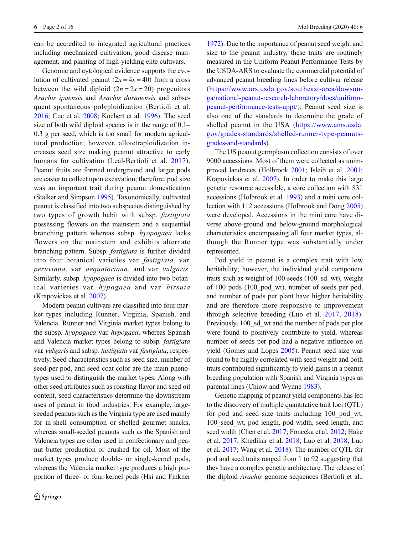can be accredited to integrated agricultural practices including mechanized cultivation, good disease management, and planting of high-yielding elite cultivars.

Genomic and cytological evidence supports the evolution of cultivated peanut  $(2n = 4x = 40)$  from a cross between the wild diploid  $(2n = 2x = 20)$  progenitors Arachis ipaensis and Arachis duranensis and subsequent spontaneous polyploidization (Bertioli et al. [2016](#page-14-0); Cuc et al. [2008](#page-14-0); Kochert et al. [1996](#page-15-0)). The seed size of both wild diploid species is in the range of 0.1– 0.3 g per seed, which is too small for modern agricultural production; however, allotetraploidization increases seed size making peanut attractive to early humans for cultivation (Leal-Bertioli et al. [2017](#page-15-0)). Peanut fruits are formed underground and larger pods are easier to collect upon excavation; therefore, pod size was an important trait during peanut domestication (Stalker and Simpson [1995](#page-15-0)). Taxonomically, cultivated peanut is classified into two subspecies distinguished by two types of growth habit with subsp. fastigiata possessing flowers on the mainstem and a sequential branching pattern whereas subsp. hyopogaea lacks flowers on the mainstem and exhibits alternate branching pattern. Subsp. fastigiata is further divided into four botanical varieties var. fastigiata, var. peruviana, var. aequatoriana, and var. vulgaris. Similarly, subsp. hyopogaea is divided into two botanical varieties var. hypogaea and var. hirsuta (Krapovickas et al. [2007\)](#page-15-0).

Modern peanut cultivars are classified into four market types including Runner, Virginia, Spanish, and Valencia. Runner and Virginia market types belong to the subsp. hyopogaea var. hypogaea, whereas Spanish and Valencia market types belong to subsp. fastigiata var. vulgaris and subsp. fastigiata var. fastigiata, respectively. Seed characteristics such as seed size, number of seed per pod, and seed coat color are the main phenotypes used to distinguish the market types. Along with other seed attributes such as roasting flavor and seed oil content, seed characteristics determine the downstream uses of peanut in food industries. For example, largeseeded peanuts such as the Virginia type are used mainly for in-shell consumption or shelled gourmet snacks, whereas small-seeded peanuts such as the Spanish and Valencia types are often used in confectionary and peanut butter production or crushed for oil. Most of the market types produce double- or single-kernel pods, whereas the Valencia market type produces a high proportion of three- or four-kernel pods (Hsi and Finkner

[1972](#page-15-0)). Due to the importance of peanut seed weight and size to the peanut industry, these traits are routinely measured in the Uniform Peanut Performance Tests by the USDA-ARS to evaluate the commercial potential of advanced peanut breeding lines before cultivar release [\(https://www.ars.usda.gov/southeast-area/dawson](https://www.ars.usda.gov/southeast-area/dawson-ga/national-peanut-research-laboratory/docs/uniform-peanut-performance-tests-uppt/)[ga/national-peanut-research-laboratory/docs/uniform](https://www.ars.usda.gov/southeast-area/dawson-ga/national-peanut-research-laboratory/docs/uniform-peanut-performance-tests-uppt/)[peanut-performance-tests-uppt/](https://www.ars.usda.gov/southeast-area/dawson-ga/national-peanut-research-laboratory/docs/uniform-peanut-performance-tests-uppt/)). Peanut seed size is also one of the standards to determine the grade of shelled peanut in the USA ([https://www.ams.usda.](https://www.ams.usda.gov/grades-standards/shelled-runner-type-peanuts-grades-and-standards) [gov/grades-standards/shelled-runner-type-peanuts](https://www.ams.usda.gov/grades-standards/shelled-runner-type-peanuts-grades-and-standards)[grades-and-standards\)](https://www.ams.usda.gov/grades-standards/shelled-runner-type-peanuts-grades-and-standards).

The US peanut germplasm collection consists of over 9000 accessions. Most of them were collected as unimproved landraces (Holbrook [2001](#page-15-0); Isleib et al. [2001;](#page-15-0) Krapovickas et al. [2007](#page-15-0)). In order to make this large genetic resource accessible, a core collection with 831 accessions (Holbrook et al. [1993](#page-15-0)) and a mini core collection with 112 accessions (Holbrook and Dong [2005](#page-15-0)) were developed. Accessions in the mini core have diverse above-ground and below-ground morphological characteristics encompassing all four market types, although the Runner type was substantially under represented.

Pod yield in peanut is a complex trait with low heritability; however, the individual yield component traits such as weight of 100 seeds (100\_sd\_wt), weight of 100 pods (100\_pod\_wt), number of seeds per pod, and number of pods per plant have higher heritability and are therefore more responsive to improvement through selective breeding (Luo et al. [2017,](#page-15-0) [2018\)](#page-15-0). Previously, 100\_sd\_wt and the number of pods per plot were found to positively contribute to yield, whereas number of seeds per pod had a negative influence on yield (Gomes and Lopes [2005\)](#page-14-0). Peanut seed size was found to be highly correlated with seed weight and both traits contributed significantly to yield gains in a peanut breeding population with Spanish and Virginia types as parental lines (Chiow and Wynne [1983\)](#page-14-0).

Genetic mapping of peanut yield components has led to the discovery of multiple quantitative trait loci (QTL) for pod and seed size traits including 100\_pod\_wt, 100\_seed\_wt, pod length, pod width, seed length, and seed width (Chen et al. [2017;](#page-14-0) Fonceka et al. [2012;](#page-14-0) Hake et al. [2017;](#page-14-0) Khedikar et al. [2018;](#page-15-0) Luo et al. [2018;](#page-15-0) Luo et al. [2017](#page-15-0); Wang et al. [2018](#page-15-0)). The number of QTL for pod and seed traits ranged from 1 to 92 suggesting that they have a complex genetic architecture. The release of the diploid Arachis genome sequences (Bertioli et al.,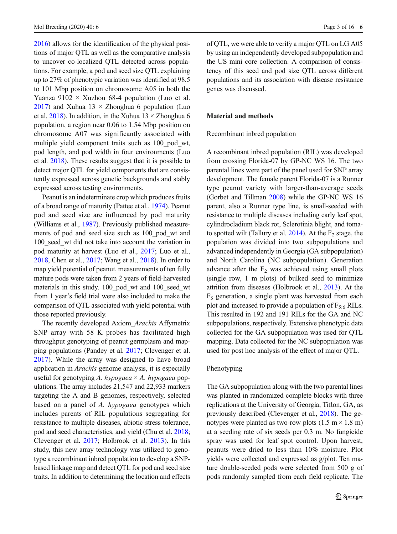[2016](#page-14-0)) allows for the identification of the physical positions of major QTL as well as the comparative analysis to uncover co-localized QTL detected across populations. For example, a pod and seed size QTL explaining up to 27% of phenotypic variation was identified at 98.5 to 101 Mbp position on chromosome A05 in both the Yuanza  $9102 \times$  Xuzhou 68-4 population (Luo et al. [2017](#page-15-0)) and Xuhua 13  $\times$  Zhonghua 6 population (Luo et al. [2018](#page-15-0)). In addition, in the Xuhua  $13 \times$ Zhonghua 6 population, a region near 0.06 to 1.54 Mbp position on chromosome A07 was significantly associated with multiple yield component traits such as 100\_pod\_wt, pod length, and pod width in four environments (Luo et al. [2018\)](#page-15-0). These results suggest that it is possible to detect major QTL for yield components that are consistently expressed across genetic backgrounds and stably expressed across testing environments.

Peanut is an indeterminate crop which produces fruits of a broad range of maturity (Pattee et al., [1974](#page-15-0)). Peanut pod and seed size are influenced by pod maturity (Williams et al., [1987\)](#page-15-0). Previously published measurements of pod and seed size such as 100\_pod\_wt and 100 seed wt did not take into account the variation in pod maturity at harvest (Luo et al., [2017](#page-15-0); Luo et al., [2018](#page-15-0), Chen et al., [2017](#page-14-0); Wang et al., [2018\)](#page-15-0). In order to map yield potential of peanut, measurements of ten fully mature pods were taken from 2 years of field-harvested materials in this study. 100\_pod\_wt and 100\_seed\_wt from 1 year's field trial were also included to make the comparison of QTL associated with yield potential with those reported previously.

The recently developed Axiom\_Arachis Affymetrix SNP array with 58 K probes has facilitated high throughput genotyping of peanut germplasm and mapping populations (Pandey et al. [2017](#page-15-0); Clevenger et al. [2017\)](#page-14-0). While the array was designed to have broad application in Arachis genome analysis, it is especially useful for genotyping A. hypogaea  $\times$  A. hypogaea populations. The array includes 21,547 and 22,933 markers targeting the A and B genomes, respectively, selected based on a panel of A. hypogaea genotypes which includes parents of RIL populations segregating for resistance to multiple diseases, abiotic stress tolerance, pod and seed characteristics, and yield (Chu et al. [2018](#page-14-0); Clevenger et al. [2017;](#page-14-0) Holbrook et al. [2013\)](#page-15-0). In this study, this new array technology was utilized to genotype a recombinant inbred population to develop a SNPbased linkage map and detect QTL for pod and seed size traits. In addition to determining the location and effects of QTL, we were able to verify a major QTL on LG A05 by using an independently developed subpopulation and the US mini core collection. A comparison of consistency of this seed and pod size QTL across different populations and its association with disease resistance genes was discussed.

# Material and methods

#### Recombinant inbred population

A recombinant inbred population (RIL) was developed from crossing Florida-07 by GP-NC WS 16. The two parental lines were part of the panel used for SNP array development. The female parent Florida-07 is a Runner type peanut variety with larger-than-average seeds (Gorbet and Tillman [2008\)](#page-14-0) while the GP-NC WS 16 parent, also a Runner type line, is small-seeded with resistance to multiple diseases including early leaf spot, cylindrocladium black rot, Sclerotinia blight, and tomato spotted wilt (Tallury et al.  $2014$ ). At the  $F_2$  stage, the population was divided into two subpopulations and advanced independently in Georgia (GA subpopulation) and North Carolina (NC subpopulation). Generation advance after the  $F_2$  was achieved using small plots (single row, 1 m plots) of bulked seed to minimize attrition from diseases (Holbrook et al., [2013\)](#page-15-0). At the  $F<sub>5</sub>$  generation, a single plant was harvested from each plot and increased to provide a population of  $F_{5:6}$  RILs. This resulted in 192 and 191 RILs for the GA and NC subpopulations, respectively. Extensive phenotypic data collected for the GA subpopulation was used for QTL mapping. Data collected for the NC subpopulation was used for post hoc analysis of the effect of major QTL.

#### Phenotyping

The GA subpopulation along with the two parental lines was planted in randomized complete blocks with three replications at the University of Georgia, Tifton, GA, as previously described (Clevenger et al., [2018\)](#page-14-0). The genotypes were planted as two-row plots  $(1.5 \text{ m} \times 1.8 \text{ m})$ at a seeding rate of six seeds per 0.3 m. No fungicide spray was used for leaf spot control. Upon harvest, peanuts were dried to less than 10% moisture. Plot yields were collected and expressed as g/plot. Ten mature double-seeded pods were selected from 500 g of pods randomly sampled from each field replicate. The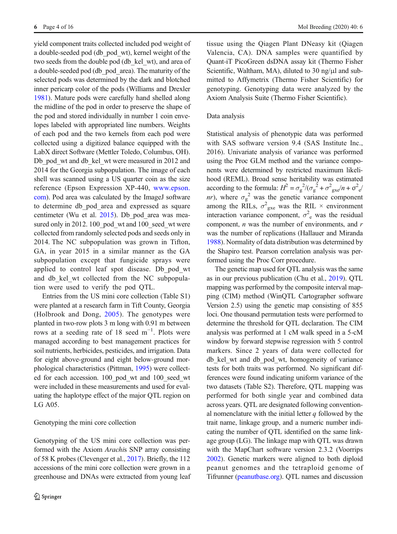yield component traits collected included pod weight of a double-seeded pod (db\_pod\_wt), kernel weight of the two seeds from the double pod (db kel wt), and area of a double-seeded pod (db\_pod\_area). The maturity of the selected pods was determined by the dark and blotched inner pericarp color of the pods (Williams and Drexler [1981](#page-15-0)). Mature pods were carefully hand shelled along the midline of the pod in order to preserve the shape of the pod and stored individually in number 1 coin envelopes labeled with appropriated line numbers. Weights of each pod and the two kernels from each pod were collected using a digitized balance equipped with the LabX direct Software (Mettler Toledo, Columbus, OH). Db\_pod\_wt and db\_kel\_wt were measured in 2012 and 2014 for the Georgia subpopulation. The image of each shell was scanned using a US quarter coin as the size reference (Epson Expression XP-440, [www.epson.](http://www.epson.com) [com\)](http://www.epson.com). Pod area was calculated by the ImageJ software to determine db\_pod\_area and expressed as square centimeter (Wu et al. [2015](#page-15-0)). Db\_pod\_area was measured only in 2012. 100 pod wt and 100 seed wt were collected from randomly selected pods and seeds only in 2014. The NC subpopulation was grown in Tifton, GA, in year 2015 in a similar manner as the GA subpopulation except that fungicide sprays were applied to control leaf spot disease. Db\_pod\_wt and db kel wt collected from the NC subpopulation were used to verify the pod QTL.

Entries from the US mini core collection (Table S1) were planted at a research farm in Tift County, Georgia (Holbrook and Dong, [2005\)](#page-15-0). The genotypes were planted in two-row plots 3 m long with 0.91 m between rows at a seeding rate of 18 seed m−<sup>1</sup> . Plots were managed according to best management practices for soil nutrients, herbicides, pesticides, and irrigation. Data for eight above-ground and eight below-ground morphological characteristics (Pittman, [1995\)](#page-15-0) were collected for each accession. 100\_pod\_wt and 100\_seed\_wt were included in these measurements and used for evaluating the haplotype effect of the major QTL region on LG A05.

### Genotyping the mini core collection

Genotyping of the US mini core collection was performed with the Axiom Arachis SNP array consisting of 58 K probes (Clevenger et al., [2017\)](#page-14-0). Briefly, the 112 accessions of the mini core collection were grown in a greenhouse and DNAs were extracted from young leaf tissue using the Qiagen Plant DNeasy kit (Qiagen Valencia, CA). DNA samples were quantified by Quant-iT PicoGreen dsDNA assay kit (Thermo Fisher Scientific, Waltham, MA), diluted to 30 ng/μl and submitted to Affymetrix (Thermo Fisher Scientific) for genotyping. Genotyping data were analyzed by the Axiom Analysis Suite (Thermo Fisher Scientific).

# Data analysis

Statistical analysis of phenotypic data was performed with SAS software version 9.4 (SAS Institute Inc., 2016). Univariate analysis of variance was performed using the Proc GLM method and the variance components were determined by restricted maximum likelihood (REML). Broad sense heritability was estimated according to the formula:  $H^2 = \sigma_g^2/(\sigma_g^2 + \sigma_{\text{gxe}}^2/n + \sigma_{\text{e}}^2/n^2)$ *nr*), where  $\sigma_g^2$  was the genetic variance component among the RILs,  $\sigma_{\text{gxe}}^2$  was the RIL  $\times$  environment interaction variance component,  $\sigma^2$ <sub>e</sub> was the residual component,  $n$  was the number of environments, and  $r$ was the number of replications (Hallauer and Miranda [1988](#page-14-0)). Normality of data distribution was determined by the Shapiro test. Pearson correlation analysis was performed using the Proc Corr procedure.

The genetic map used for QTL analysis was the same as in our previous publication (Chu et al., [2019\)](#page-14-0). QTL mapping was performed by the composite interval mapping (CIM) method (WinQTL Cartographer software Version 2.5) using the genetic map consisting of 855 loci. One thousand permutation tests were performed to determine the threshold for QTL declaration. The CIM analysis was performed at 1 cM walk speed in a 5-cM window by forward stepwise regression with 5 control markers. Since 2 years of data were collected for db\_kel\_wt and db\_pod\_wt, homogeneity of variance tests for both traits was performed. No significant differences were found indicating uniform variance of the two datasets (Table S2). Therefore, QTL mapping was performed for both single year and combined data across years. QTL are designated following conventional nomenclature with the initial letter  $q$  followed by the trait name, linkage group, and a numeric number indicating the number of QTL identified on the same linkage group (LG). The linkage map with QTL was drawn with the MapChart software version 2.3.2 (Voorrips [2002](#page-15-0)). Genetic markers were aligned to both diploid peanut genomes and the tetraploid genome of Tifrunner [\(peanutbase.org\)](http://peanutbase.org). QTL names and discussion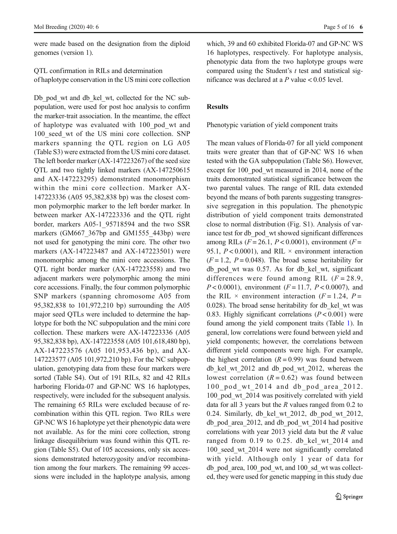were made based on the designation from the diploid genomes (version 1).

QTL confirmation in RILs and determination of haplotype conservation in the US mini core collection

Db pod wt and db kel wt, collected for the NC subpopulation, were used for post hoc analysis to confirm the marker-trait association. In the meantime, the effect of haplotype was evaluated with 100\_pod\_wt and 100\_seed\_wt of the US mini core collection. SNP markers spanning the QTL region on LG A05 (Table S3) were extracted from the US mini core dataset. The left border marker (AX-147223267) of the seed size QTL and two tightly linked markers (AX-147250615 and AX-147223295) demonstrated monomorphism within the mini core collection. Marker AX-147223336 (A05 95,382,838 bp) was the closest common polymorphic marker to the left border marker. In between marker AX-147223336 and the QTL right border, markers A05-1\_95718594 and the two SSR markers (GM667 367bp and GM1555 443bp) were not used for genotyping the mini core. The other two markers (AX-147223487 and AX-147223501) were monomorphic among the mini core accessions. The QTL right border marker (AX-147223558) and two adjacent markers were polymorphic among the mini core accessions. Finally, the four common polymorphic SNP markers (spanning chromosome A05 from 95,382,838 to 101,972,210 bp) surrounding the A05 major seed QTLs were included to determine the haplotype for both the NC subpopulation and the mini core collection. These markers were AX-147223336 (A05 95,382,838 bp), AX-147223558 (A05 101,618,480 bp), AX-147223576 (A05 101,953,436 bp), and AX-147223577 (A05 101,972,210 bp). For the NC subpopulation, genotyping data from these four markers were sorted (Table S4). Out of 191 RILs, 82 and 42 RILs harboring Florida-07 and GP-NC WS 16 haplotypes, respectively, were included for the subsequent analysis. The remaining 65 RILs were excluded because of recombination within this QTL region. Two RILs were GP-NC WS 16 haplotype yet their phenotypic data were not available. As for the mini core collection, strong linkage disequilibrium was found within this QTL region (Table S5). Out of 105 accessions, only six accessions demonstrated heterozygosity and/or recombination among the four markers. The remaining 99 accessions were included in the haplotype analysis, among

which, 39 and 60 exhibited Florida-07 and GP-NC WS 16 haplotypes, respectively. For haplotype analysis, phenotypic data from the two haplotype groups were compared using the Student's  $t$  test and statistical significance was declared at a  $P$  value  $< 0.05$  level.

# Results

Phenotypic variation of yield component traits

The mean values of Florida-07 for all yield component traits were greater than that of GP-NC WS 16 when tested with the GA subpopulation (Table S6). However, except for 100 pod wt measured in 2014, none of the traits demonstrated statistical significance between the two parental values. The range of RIL data extended beyond the means of both parents suggesting transgressive segregation in this population. The phenotypic distribution of yield component traits demonstrated close to normal distribution (Fig. S1). Analysis of variance test for db\_pod\_wt showed significant differences among RILs ( $F = 26.1$ ,  $P < 0.0001$ ), environment ( $F =$ 95.1,  $P < 0.0001$ ), and RIL  $\times$  environment interaction  $(F = 1.2, P = 0.048)$ . The broad sense heritability for db\_pod\_wt was 0.57. As for db\_kel\_wt, significant differences were found among RIL  $(F = 28.9,$  $P < 0.0001$ ), environment ( $F = 11.7$ ,  $P < 0.0007$ ), and the RIL  $\times$  environment interaction (F = 1.24, P = 0.028). The broad sense heritability for db kel wt was 0.83. Highly significant correlations  $(P < 0.001)$  were found among the yield component traits (Table [1\)](#page-6-0). In general, low correlations were found between yield and yield components; however, the correlations between different yield components were high. For example, the highest correlation  $(R = 0.99)$  was found between db\_kel\_wt\_2012 and db\_pod\_wt\_2012, whereas the lowest correlation  $(R = 0.62)$  was found between 100 pod wt 2014 and db pod area 2012. 100 pod wt 2014 was positively correlated with yield data for all 3 years but the  $R$  values ranged from 0.2 to 0.24. Similarly, db\_kel\_wt\_2012, db\_pod\_wt\_2012, db pod area 2012, and db pod wt 2014 had positive correlations with year 2013 yield data but the R value ranged from 0.19 to 0.25. db kel wt 2014 and 100 seed wt 2014 were not significantly correlated with yield. Although only 1 year of data for db\_pod\_area, 100\_pod\_wt, and 100\_sd\_wt was collected, they were used for genetic mapping in this study due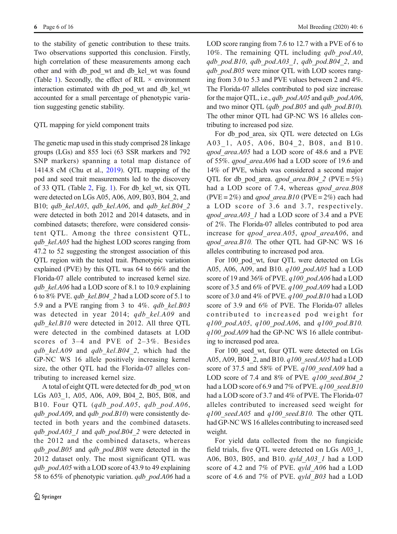to the stability of genetic contribution to these traits. Two observations supported this conclusion. Firstly, high correlation of these measurements among each other and with db\_pod\_wt and db\_kel\_wt was found (Table [1](#page-6-0)). Secondly, the effect of RIL  $\times$  environment interaction estimated with db\_pod\_wt and db\_kel\_wt accounted for a small percentage of phenotypic variation suggesting genetic stability.

# QTL mapping for yield component traits

The genetic map used in this study comprised 28 linkage groups (LGs) and 855 loci (63 SSR markers and 792 SNP markers) spanning a total map distance of 1414.8 cM (Chu et al., [2019](#page-14-0)). QTL mapping of the pod and seed trait measurements led to the discovery of 33 QTL (Table [2](#page-7-0), Fig. [1\)](#page-9-0). For db\_kel\_wt, six QTL were detected on LGs A05, A06, A09, B03, B04\_2, and B10; qdb kel.A05, qdb kel.A06, and qdb kel.B04  $2$ were detected in both 2012 and 2014 datasets, and in combined datasets; therefore, were considered consistent QTL. Among the three consistent QTL, qdb kel.A05 had the highest LOD scores ranging from 47.2 to 52 suggesting the strongest association of this QTL region with the tested trait. Phenotypic variation explained (PVE) by this QTL was 64 to 66% and the Florida-07 allele contributed to increased kernel size. qdb kel. $A06$  had a LOD score of 8.1 to 10.9 explaining 6 to 8% PVE. qdb\_kel.B04\_2 had a LOD score of 5.1 to 5.9 and a PVE ranging from 3 to  $4\%$ . *qdb* kel.B03 was detected in year 2014; *qdb kel.A09* and  $qdb$  kel.B10 were detected in 2012. All three QTL were detected in the combined datasets at LOD scores of 3–4 and PVE of 2–3%. Besides qdb kel.A09 and qdb kel.B04 2, which had the GP-NC WS 16 allele positively increasing kernel size, the other QTL had the Florida-07 alleles contributing to increased kernel size.

A total of eight QTL were detected for db\_pod\_wt on LGs A03\_1, A05, A06, A09, B04\_2, B05, B08, and B10. Four QTL (qdb\_pod.A05, qdb\_pod.A06, qdb  $pod.A09$ , and qdb  $pod.B10$ ) were consistently detected in both years and the combined datasets. qdb  $pod.A03$  1 and qdb  $pod.B04$  2 were detected in the 2012 and the combined datasets, whereas qdb pod.B05 and qdb pod.B08 were detected in the 2012 dataset only. The most significant QTL was qdb pod.A05 with a LOD score of 43.9 to 49 explaining 58 to 65% of phenotypic variation. *qdb* pod.A06 had a LOD score ranging from 7.6 to 12.7 with a PVE of 6 to 10%. The remaining QTL including  $qdb$  pod.A0, qdb pod.B10, qdb pod.A03 $1$ , qdb pod.B04 $2$ , and qdb pod.B05 were minor QTL with LOD scores ranging from 3.0 to 5.3 and PVE values between 2 and 4%. The Florida-07 alleles contributed to pod size increase for the major QTL, i.e.,  $qdb$  pod. $A05$  and  $qdb$  pod. $A06$ , and two minor QTL (qdb  $pod.B05$  and qdb  $pod.B10$ ). The other minor QTL had GP-NC WS 16 alleles contributing to increased pod size.

For db pod area, six QTL were detected on LGs A03<sup>1</sup>, A05, A06, B04<sup>2</sup>, B08, and B10. qpod\_area.A05 had a LOD score of 48.6 and a PVE of 55%. qpod\_area.A06 had a LOD score of 19.6 and 14% of PVE, which was considered a second major QTL for db pod area. qpod area.B04 2 (PVE = 5%) had a LOD score of 7.4, whereas *qpod area.B08* (PVE =  $2\%$ ) and *apod* area.B10 (PVE =  $2\%$ ) each had a LOD score of 3.6 and 3.7, respectively. qpod area.A03 1 had a LOD score of 3.4 and a PVE of 2%. The Florida-07 alleles contributed to pod area increase for qpod area.A05, qpod areaA06, and qpod area.B10. The other QTL had GP-NC WS 16 alleles contributing to increased pod area.

For 100 pod wt, four QTL were detected on LGs A05, A06, A09, and B10. q100\_pod.A05 had a LOD score of 19 and 36% of PVE.  $q100$  pod.A06 had a LOD score of 3.5 and 6% of PVE. q100\_pod.A09 had a LOD score of 3.0 and 4% of PVE.  $q100$  pod.B10 had a LOD score of 3.9 and 6% of PVE. The Florida-07 alleles contributed to increased pod weight for q100\_pod.A05, q100\_pod.A06, and q100\_pod.B10.  $q100~pod.A09$  had the GP-NC WS 16 allele contributing to increased pod area.

For 100 seed wt, four QTL were detected on LGs A05, A09, B04 2, and B10. q100 seed.A05 had a LOD score of 37.5 and 58% of PVE.  $q100$  seed.A09 had a LOD score of 7.4 and 8% of PVE.  $q100$  seed.B04 2 had a LOD score of 6.9 and 7% of PVE.  $q100$  seed.B10 had a LOD score of 3.7 and 4% of PVE. The Florida-07 alleles contributed to increased seed weight for  $q100$  seed.A05 and  $q100$  seed.B10. The other QTL had GP-NC WS 16 alleles contributing to increased seed weight.

For yield data collected from the no fungicide field trials, five QTL were detected on LGs A03\_1, A06, B03, B05, and B10. qyld\_A03\_1 had a LOD score of 4.2 and 7% of PVE. *qyld* A06 had a LOD score of 4.6 and 7% of PVE. *qyld B03* had a LOD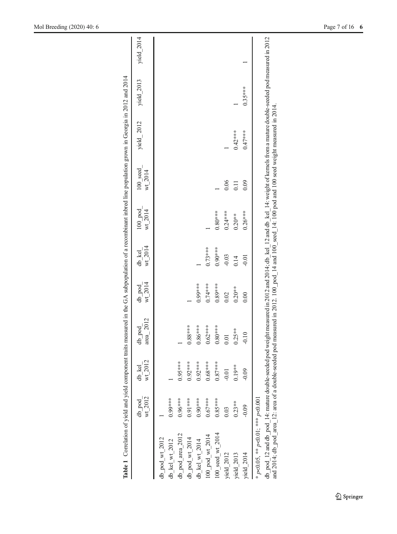<span id="page-6-0"></span>

| Table 1 Correlation of yield and yield component traits measured in the GA subpopulation of a recombinant inbred line population grown in Georgia in 2012 and 2014                                                                                                                                                                   |                   |                   |                     |                     |                   |                      |                     |            |            |            |
|--------------------------------------------------------------------------------------------------------------------------------------------------------------------------------------------------------------------------------------------------------------------------------------------------------------------------------------|-------------------|-------------------|---------------------|---------------------|-------------------|----------------------|---------------------|------------|------------|------------|
|                                                                                                                                                                                                                                                                                                                                      | wt 2012<br>db pod | wt 2012<br>db kel | area_2012<br>db pod | $wt$ 2014<br>db pod | wt 2014<br>db kel | wt 2014<br>$100$ pod | 100 seed<br>wt 2014 | yield_2012 | yield_2013 | yield_2014 |
| db_pod_wt_2012                                                                                                                                                                                                                                                                                                                       |                   |                   |                     |                     |                   |                      |                     |            |            |            |
| db_kel_wt_2012                                                                                                                                                                                                                                                                                                                       | $0.99***$         |                   |                     |                     |                   |                      |                     |            |            |            |
| db_pod_area_2012                                                                                                                                                                                                                                                                                                                     | $0.96***$         | $0.95***$         |                     |                     |                   |                      |                     |            |            |            |
| db_pod_wt_2014                                                                                                                                                                                                                                                                                                                       | $0.91***$         | $0.92***$         | $0.88***$           |                     |                   |                      |                     |            |            |            |
| db_kel_wt_2014                                                                                                                                                                                                                                                                                                                       | $0.90***$         | $0.92***$         | $0.86***$           | $0.99***$           |                   |                      |                     |            |            |            |
| $100 \text{ pod wt}$ 2014                                                                                                                                                                                                                                                                                                            | $0.67***$         | $0.68***$         | $0.62***$           | $0.74***$           | $0.73***$         |                      |                     |            |            |            |
| 100 seed wt 2014                                                                                                                                                                                                                                                                                                                     | $0.85***$         | $0.87***$         | $0.80***$           | $0.89***$           | $0.90***$         | $0.80***$            |                     |            |            |            |
| yield 2012                                                                                                                                                                                                                                                                                                                           | 0.03              | $-0.01$           | 0.01                | 0.02                | $-0.03$           | $0.24***$            | 0.06                |            |            |            |
| yield 2013                                                                                                                                                                                                                                                                                                                           | $0.23**$          | $0.19***$         | $0.25**$            | $0.20**$            | 0.14              | $0.20**$             | $\Xi$               | $0.42***$  |            |            |
| vield $2014$                                                                                                                                                                                                                                                                                                                         | $-0.09$           | $-0.09$           | $-0.10$             | 0.00                | $-0.01$           | $0.26***$            | 0.09                | $0.47***$  | $0.35***$  |            |
| * p<0.05, ** p<0.01; *** p<0.001                                                                                                                                                                                                                                                                                                     |                   |                   |                     |                     |                   |                      |                     |            |            |            |
| db pod 12 and db pod 14: mature double-seeded pod weight measured in 2012 and 2014; db kel 12 and db kel 14: weight of kernels from a mature double-seeded pod measured in 2012<br>and 2014, db pod area 12: area of a double-seeded pod measured in 2012. 100 pod 14 and 100 seed 14: 100 pod and 100 seed weight measured in 2014. |                   |                   |                     |                     |                   |                      |                     |            |            |            |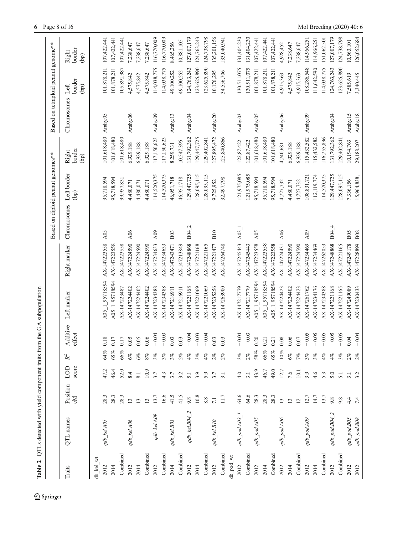<span id="page-7-0"></span>

| Table 2   | QTLs detected with yield component traits from the GA subpopulation |                 |                  |                 |                    |                |              |                                   |                   |                         |                                     |                                              |                             |
|-----------|---------------------------------------------------------------------|-----------------|------------------|-----------------|--------------------|----------------|--------------|-----------------------------------|-------------------|-------------------------|-------------------------------------|----------------------------------------------|-----------------------------|
|           |                                                                     |                 |                  |                 |                    |                |              | Based on diploid peanut genomes** |                   |                         | Based on tetraploid peanut genome** |                                              |                             |
| Traits    | QTL names                                                           | Position<br>ΣÓ  | LOD<br>score     | $\mathbb{R}^2$  | Additive<br>effect | Left marker    | Right marker | Chromosomes                       | Left border<br>ල් | border<br>Right<br>(bp) | Chromosomes                         | border<br>Left<br>$\left(\frac{1}{2}\right)$ | border<br>Right<br>$\Theta$ |
| db kel wt |                                                                     |                 |                  |                 |                    |                |              |                                   |                   |                         |                                     |                                              |                             |
| 2012      | qdb kel.A05                                                         | 28.3            | 47.2             | 54%             | 0.18               | A05 1 95718594 | AX-147223558 | A05                               | 95,718,594        | 101,618,480             | Arahy.05                            | 101,878,211                                  | 107,422,441                 |
| 2014      |                                                                     | 28.3            | 46.4             | 55%             | 0.17               | A05 1 95718594 | AX-147223558 |                                   | 95,718,594        | 101,618,480             |                                     | 101,878,211                                  | 107,422,441                 |
| Combined  |                                                                     | 28.3            | 52.0             | 56%             | 0.17               | AX-147223487   | AX-147223558 |                                   | 99,957,831        | 101,618,480             |                                     | 105,891,987                                  | 107, 422, 441               |
| 2012      | qdb_kel.A06                                                         | 13              | 8.4              | $\mathscr{B}$   | 0.05               | AX-147224402   | AX-147224590 | A06                               | 4,480,071         | 6,929,188               | Arahy.06                            | 4,575,842                                    | 7,238,647                   |
| 2014      |                                                                     | 13              | 8.1              | eg.             | 0.05               | AX-147224402   | AX-147224590 |                                   | 4,480,071         | 6,929,188               |                                     | 4,575,842                                    | 7,238,647                   |
| Combined  |                                                                     | $\overline{13}$ | 10.9             | of              | 0.06               | AX-147224402   | AX-147224590 |                                   | 4,480,071         | 6,929,188               |                                     | 4,575,842                                    | 7,238,647                   |
| 2012      | qdb_kel.A09                                                         | 13.7            | 3.7              | of              | $-0.04$            | AX-147234388   | AX-147234633 | A09                               | 114,520,375       | 17,150,623              | Arahy.09                            | 114,038,775                                  | 116,770,009                 |
| Combined  |                                                                     | 16.6            | 4.3              | of              | 0.03               | AX-147234388   | AX-147234633 |                                   | 114,520,375       | 17,150,623              |                                     | 14,038,775                                   | 116,770,009                 |
| 2014      | $qdb\_kel. B03$                                                     | 41.5            | 3.7              | of              | 0.03               | AX-147216911   | AX-147243471 | <b>B03</b>                        | 46,951,718        | 8,259,731               | Arahy.13                            | 19,100,252                                   | 8,465,256                   |
| Combined  |                                                                     | 41.5            | 3.2              | of              | 0.03               | AX-147216911   | AX-147213849 |                                   | 46,951,718        | 0,547,395               |                                     | 19,100,252                                   | 10,881,105                  |
| 2012      | $qdb\_kel.B04\_2$                                                   | 9.8             | 5.1              | of,             | $-0.04$            | AX-147221168   | AX-147248868 | B04 2                             | 129,447,725       | 31,792,362              | Arahy.04                            | 124,763,243                                  | 127,007,179                 |
| 2014      |                                                                     | 10.8            | 3.9              | of              | $-0.03$            | AX-147221069   | AX-147221168 |                                   | 128,095,115       | 29,447,725              |                                     | 123,625,890                                  | 124,763,243                 |
| Combined  |                                                                     | 8.8             | 5.9              | of              | 0.04               | AX-147221069   | AX-147221165 |                                   | 128,095,115       | 129,402,841             |                                     | 123,625,890                                  | 124,738,798                 |
| 2012      | $qdb\_kelBIO$                                                       | $7.1$           | 3.7              | Š               | 0.03               | AX-147235256   | AX-147221477 | B10                               | 9,725,952         | 127,895,472             | Arahy.20                            | 10,176,295                                   | 135,201,156                 |
| Combined  |                                                                     | 11.7            | 3.1              | of              | 0.03               | AX-147263900   | AX-147264748 |                                   | 32,497,798        | 125,840,866             |                                     | 34,556,706                                   | 133,040,941                 |
| db_pod_wt |                                                                     |                 |                  |                 |                    |                |              |                                   |                   |                         |                                     |                                              |                             |
| 2012      | $qdb\_pod.A03\_I$                                                   | 64.6            | 4.0              | $\mathcal{E}_6$ | $-0.04$            | AX-147217779   | AX-147245443 | A03                               | 121,975,085       | 122,87,422              | Arahy.03                            | 30,511,075                                   | 131,404,230                 |
| Combined  |                                                                     | 64.6            | 3.1              | Š,              | $-0.03$            | AX-147217779   | AX-147245443 |                                   | 121,975,085       | 122, 87, 422            |                                     | 130,511,075                                  | 131,404,230                 |
| 2012      | $qdb\_pod.A05$                                                      | 28.3            | 43.9             | 58%             | 0.20               | A05 1 95718594 | AX-147223558 | A05                               | 95,718,594        | 01,618,480              | Arahy.05                            | 01,878,211                                   | 107,422,441                 |
| 2014      |                                                                     | 28.3            | 46.7             | 66%             | 0.21               | A05_1_95718594 | AX-147223558 |                                   | 95,718,594        | 01,618,480              |                                     | 101,878,211                                  | 107,422,441                 |
| Combined  |                                                                     | 28.3            | 49.0             | 55%             | 0.21               | A05 1 95718594 | AX-147223558 |                                   | 95,718,594        | 01,618,480              |                                     | 101,878,211                                  | 107,422,441                 |
| 2012      | qdb_pod.A06                                                         | 13              | 12.7             | 10%             | 0.08               | AX-147224423   | AX-147224431 | A06                               | 4,727,732         | 4,740,681               | Arahy.06                            | 4,915,363                                    | 4,928,452                   |
| 2014      |                                                                     | 13              | 7.6              | $\mathscr{B}$   | 0.06               | AX-147224402   | AX-147224590 |                                   | 4,480,071         | 6,929,188               |                                     | 4,575,842                                    | 7,238,647                   |
| Combined  |                                                                     | $\overline{2}$  | 10.1             | r of            | 0.07               | AX-147224423   | AX-147224590 |                                   | 4,727,732         | 6,929,188               |                                     | 4,915,363                                    | 7,238,647                   |
| 2012      | qdb_pod.A09                                                         | 12.7            | 3.9              | ofo             | $-0.05$            | AX-147261762   | AX-147234469 | A09                               | 108,831,721       | 115,432,582             | Arahy.09                            | 08,286,548                                   | 114,966,251                 |
| 2014      |                                                                     | 14.7            | 4.6              | $\frac{2}{6}$   | $-0.05$            | AX-147234176   | AX-147234469 |                                   | 112,119,774       | 15,432,582              |                                     | 111,642,590                                  | 14,966,251                  |
| Combined  |                                                                     | 13.7            | 5.3              | $\mathcal{C}$   | 0.05               | AX-147234388   | AX-147262053 |                                   | 114,520,375       | 116,755,896             |                                     | 14,038,775                                   | 151,062,501                 |
| 2012      | $qdb$ $pod$ $B04$ $2$                                               | 9.8             | 5.0              | $\mathcal{C}$   | 0.05               | AX-147221168   | AX-147248868 | B04 4                             | 129,447,725       | 131,792,362             | Arahy.04                            | 124,763,243                                  | 127,007,179                 |
| Combined  |                                                                     | 9.8             | 5.1              | ofo             | $-0.05$            | AX-147221165   | AX-147221165 |                                   | 128,095,115       | 129,402,841             |                                     | 123,625,890                                  | 124,738,798                 |
| 2012      | $qdb\_pod.B05$                                                      | 4.4             | $\overline{3.1}$ | i%              | 0.04               | AX-147249089   | AX-147249178 | B <sub>05</sub>                   | 7,336,156         | 10,194,763              | Arahy.15                            | 7,585,619                                    | 10,563,101                  |
| 2012      | $qdb\_pod.B08$                                                      | 7.4             |                  | 2%              | $-0.04$            | AX-147230433   | AX-147228899 | $_{\rm B08}$                      | 15,964,838,       | 29,188,207              | Arahy.18                            | 3,340,445                                    | 126,052,684                 |

 $\underline{\textcircled{\tiny 2}}$  Springer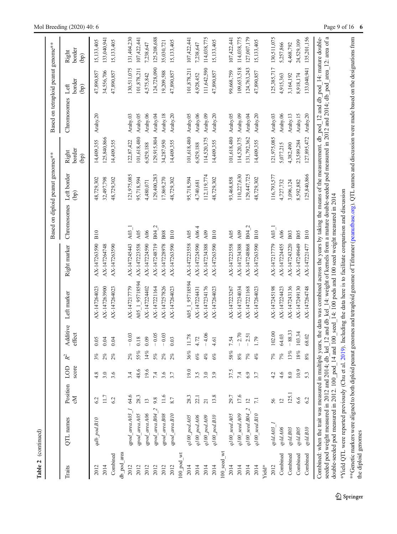|              |                                                                                              |                 |              |        |                    |                                                                                                                                                                                                                                                                                                                                                                                        |              |                 | Based on diploid peanut genomes** |                         | Based on tetraploid peanut genome** |                        |                         |
|--------------|----------------------------------------------------------------------------------------------|-----------------|--------------|--------|--------------------|----------------------------------------------------------------------------------------------------------------------------------------------------------------------------------------------------------------------------------------------------------------------------------------------------------------------------------------------------------------------------------------|--------------|-----------------|-----------------------------------|-------------------------|-------------------------------------|------------------------|-------------------------|
| Traits       | QTL names                                                                                    | Position<br>Σď  | score<br>LOD | $R^2$  | Additive<br>effect | Left marker                                                                                                                                                                                                                                                                                                                                                                            | Right marker | Chromosomes     | Left border<br>(dq)               | border<br>Right<br>(bp) | Chromosomes                         | border<br>Left<br>(bp) | border<br>Right<br>(bp) |
| 2012         | qdb_pod.B10                                                                                  | 6.2             | 4.8          | 3%     | 0.05               | AX-147264023                                                                                                                                                                                                                                                                                                                                                                           | AX-147263590 | B10             | 48,729,302                        | 14,409,355              | Arahy.20                            | 47,890,857             | 15,133,405              |
| 2014         |                                                                                              | 11.7            | 3.0          | 2%     | 0.04               | AX-147263900                                                                                                                                                                                                                                                                                                                                                                           | AX-147264748 |                 | 32,497,798                        | 125,840,866             |                                     | 34,556,706             | 133,040,94              |
| Combined     |                                                                                              | 6.2             | 3.6          | 2%     | 0.04               | AX-147264023                                                                                                                                                                                                                                                                                                                                                                           | AX-147263590 |                 | 48,729,302                        | 14,409,355              |                                     | 47,890,857             | 15,133,405              |
| db_pod_area  |                                                                                              |                 |              |        |                    |                                                                                                                                                                                                                                                                                                                                                                                        |              |                 |                                   |                         |                                     |                        |                         |
| 2012         | $qpod\_areaA03\_I$                                                                           | 64.6            | 3.4          | 2%     | $-0.03$            | AX-147217779                                                                                                                                                                                                                                                                                                                                                                           | AX-147245443 | $A03$ 1         | 121,975,085                       | 122,87,422              | Arahy.03                            | 130,511,075            | 131,404,230             |
| 2012         | $qpod\_areaA05$                                                                              | 28.3            | 48.6         | 55%    | 0.18               | A05 1 95718594                                                                                                                                                                                                                                                                                                                                                                         | AX-147223558 | A05             | 95,718,594                        | 101,618,480             | Arahy.05                            | 101,878,211            | 107,422,441             |
| 2012         | qpod_area.A06                                                                                | 13              | 19.6         | $14\%$ | 0.09               | AX-147224402                                                                                                                                                                                                                                                                                                                                                                           | AX-147224590 | A06             | 4,480,071                         | 6,929,188               | Arahy.06                            | 4,575,842              | 7,238,647               |
| 2012         | $qpod\_areaB04\_2$                                                                           | 9.8             | 7.4          | 5%     | $-0.05$            | AX-147221164                                                                                                                                                                                                                                                                                                                                                                           | AX-147248719 | B04 2           | 129,400,283                       | 129,915,804             | Arahy.04                            | 124,728,090            | 125,208,688             |
| 2012         | $qpod\_area.B08$                                                                             | 11.6            | 3.6          | 2%     | $-0.03$            | AX-147257826                                                                                                                                                                                                                                                                                                                                                                           | AX-147228978 | <b>B08</b>      | 17,869,270                        | 34,287,950              | Arahy.18                            | 19,209,588             | 35,030,721              |
| 2012         | $qpod\_area.B10$                                                                             | 8.7             | 3.7          | 2%     | 0.03               | AX-147264023                                                                                                                                                                                                                                                                                                                                                                           | AX-147263590 | B10             | 48,729,302                        | 14,409,355              | Arahy.20                            | 47,890,857             | 15,133,405              |
| $100$ pod_wt |                                                                                              |                 |              |        |                    |                                                                                                                                                                                                                                                                                                                                                                                        |              |                 |                                   |                         |                                     |                        |                         |
| 2014         | q100_pod.A05                                                                                 | 28.3            | 19.0         | 36%    | 11.78              | A05 1 95718594                                                                                                                                                                                                                                                                                                                                                                         | AX-147223558 | A <sub>05</sub> | 95,718,594                        | 101,618,480             | Arahy.05                            | 101,878,211            | 107,422,441             |
| 2014         | 9100_pod.A06                                                                                 | 22.1            | 3.5          | $6\%$  | 4.72               | AX-147224431                                                                                                                                                                                                                                                                                                                                                                           | AX-147224590 | A06.            | 4,740,681                         | 6,929,188               | Arahy.06                            | 4,928,452              | 7,238,647               |
| 2014         | q100_pod.A09                                                                                 | $\overline{21}$ | 3.0          | 4%     | $-4.06$            | AX-147234176                                                                                                                                                                                                                                                                                                                                                                           | AX-147234388 | A09             | 112,119,774                       | 114,520,375             | Arahy.09                            | 111,642,590            | 114,038,775             |
| 2014         | q100_pod.B10                                                                                 | 13.8            | 3.9          | 6%     | 4.61               | AX-147264023                                                                                                                                                                                                                                                                                                                                                                           | AX-147263590 | B10             | 48,729,302                        | 14,409,355              | Arahy.20                            | 47,890,857             | 15,133,405              |
| 100 seed wt  |                                                                                              |                 |              |        |                    |                                                                                                                                                                                                                                                                                                                                                                                        |              |                 |                                   |                         |                                     |                        |                         |
| 2014         | $q100$ seed. $A05$                                                                           | 29.7            | 37.5         | 58%    | 7.54               | AX-147223267                                                                                                                                                                                                                                                                                                                                                                           | AX-147223558 | A05             | 93,468,858                        | 101,618,480             | Arahy.05                            | 99,668,759             | 107,422,441             |
| 2014         | q100 seed.A09                                                                                | 17.6            | 7.4          | $8\%$  | $-2.70$            | AX-147234034                                                                                                                                                                                                                                                                                                                                                                           | AX-147234388 | A09             | 110,227,630                       | 14,520,375              | Arahy.09                            | 109,653,518            | 114,038,775             |
| 2014         | $q100 \; \text{seed}.$ B04 $\;$ 2                                                            | $\overline{c}$  | 6.9          | 7%     | $-2.51$            | AX-147221168                                                                                                                                                                                                                                                                                                                                                                           | AX-147248868 | B04 2           | 129,447,725                       | 131,792,362             | Arahy.04                            | 124,763,243            | 127,007,179             |
| 2014         | $q100$ seed. B10                                                                             | $7.1\,$         | 3.7          | 4%     | 1.79               | AX-147264023                                                                                                                                                                                                                                                                                                                                                                           | AX-147263590 | B10             | 48,729,302                        | 14,409,355              | Arahy.20                            | 47,890,857             | 15,133,405              |
| Yield*       |                                                                                              |                 |              |        |                    |                                                                                                                                                                                                                                                                                                                                                                                        |              |                 |                                   |                         |                                     |                        |                         |
| 2012         | $q$ vld. $A$ 03                                                                              | 56              | 4.2          | 7%     | 102.00             | AX-147245198                                                                                                                                                                                                                                                                                                                                                                           | AX-147217779 | A03             | 116,793,577                       | 121,975,085             | Arahy.03                            | 125,385,717            | 130,511,075             |
| Combined     | qyld.A06                                                                                     | $\overline{c}$  | 4.6          | 7%     | 64.03              | AX-147224423                                                                                                                                                                                                                                                                                                                                                                           | AX-147224455 | A06             | 4,727,732                         | 5,077,215               | Arahy.06                            | 4,915,363              | 5,257,866               |
| Combined     | $q$ ld.<br>BO3                                                                               | 125.1           | $8.0\,$      | 13%    | $-88.33$           | AX-147243136                                                                                                                                                                                                                                                                                                                                                                           | AX-147243220 | <b>B03</b>      | 3,096,124                         | 4,382,490               | Arahy.13                            | 3,164,192              | 4,468,792               |
| Combined     | qyld.B05                                                                                     | 6.6             | 10.9         | $18\%$ | 103.34             | AX-147249130                                                                                                                                                                                                                                                                                                                                                                           | AX-147249649 | <b>B05</b>      | 8,592,882                         | 23,589,284              | Arahy.15                            | 8,918,174              | 24,529,109              |
| Combined     | $q$ ld.<br>B<br>10 $\,$                                                                      | 6.2             | 5.3          | 8%     | 68.02              | AX-147264748                                                                                                                                                                                                                                                                                                                                                                           | AX-147221477 | B10             | 125,840,866                       | 127,895,472             | Arahy.20                            | 133,040,941            | 135,201,156             |
|              | double-seeded pod measured in 2012. 100_pod_<br>seeded pod weight measured in 2012 and 2014; |                 |              |        |                    | db_kel_12 and db_kel_14; weight of kemels from a mature double-seeded pod measured in 2012 and 2014, db_pod_area_12: area of a<br>Combined: when the trait was measured in multiple years, the data was combined across the years by taking the means of the measurement. db_pod_12 and db_pod_14: mature double-<br>14 and 100_seed_14: 100 pods and 100 seed weight measured in 2014 |              |                 |                                   |                         |                                     |                        |                         |
|              | *Yield QTL were reported previously (Chu et al.                                              |                 |              |        |                    | **Genetic markers were aligned to both diploid peanut genomes and tetraploid genome of Tifrumer (peanutbase.org). QTL names and discussion were made based on the designations from<br>2019). Including the data here is to facilitate comparison and discussion                                                                                                                       |              |                 |                                   |                         |                                     |                        |                         |
|              |                                                                                              |                 |              |        |                    |                                                                                                                                                                                                                                                                                                                                                                                        |              |                 |                                   |                         |                                     |                        |                         |

Table 2 (continued)

Table 2 (continued)

the diploid genomes

the diploid genomes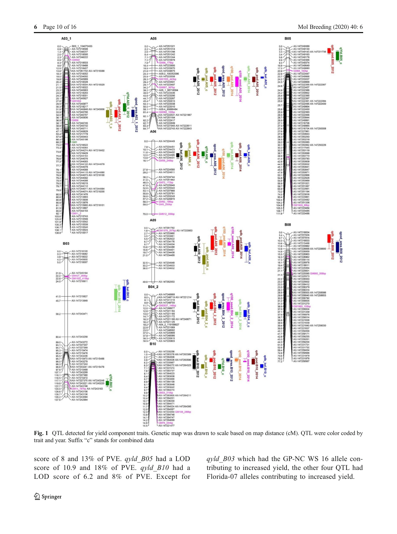<span id="page-9-0"></span>

Fig. 1 QTL detected for yield component traits. Genetic map was drawn to scale based on map distance (cM). QTL were color coded by trait and year. Suffix "c" stands for combined data

score of 8 and 13% of PVE. qyld\_B05 had a LOD score of 10.9 and 18% of PVE. qyld\_B10 had a LOD score of 6.2 and 8% of PVE. Except for

qyld B03 which had the GP-NC WS 16 allele contributing to increased yield, the other four QTL had Florida-07 alleles contributing to increased yield.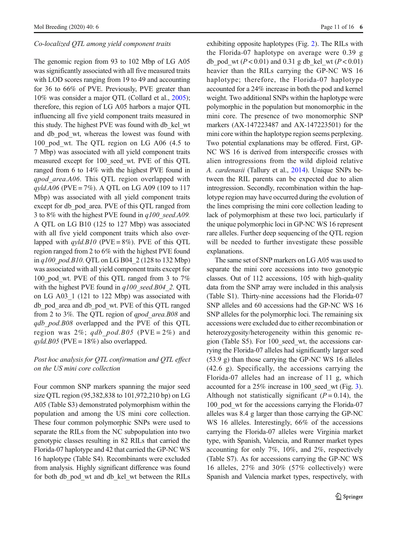# Co-localized QTL among yield component traits

The genomic region from 93 to 102 Mbp of LG A05 was significantly associated with all five measured traits with LOD scores ranging from 19 to 49 and accounting for 36 to 66% of PVE. Previously, PVE greater than 10% was consider a major QTL (Collard et al., [2005](#page-14-0)); therefore, this region of LG A05 harbors a major QTL influencing all five yield component traits measured in this study. The highest PVE was found with db\_kel\_wt and db pod wt, whereas the lowest was found with 100 pod wt. The QTL region on LG A06 (4.5 to 7 Mbp) was associated with all yield component traits measured except for 100\_seed\_wt. PVE of this QTL ranged from 6 to 14% with the highest PVE found in qpod area.A06. This QTL region overlapped with  $q$ yld.A06 (PVE = 7%). A QTL on LG A09 (109 to 117 Mbp) was associated with all yield component traits except for db\_pod\_area. PVE of this QTL ranged from 3 to 8% with the highest PVE found in  $q100$  seed.A09. A QTL on LG B10 (125 to 127 Mbp) was associated with all five yield component traits which also overlapped with  $qy/d.B10$  (PVE = 8%). PVE of this QTL region ranged from 2 to 6% with the highest PVE found in  $q100$  pod.B10. QTL on LG B04 2 (128 to 132 Mbp) was associated with all yield component traits except for 100 pod wt. PVE of this QTL ranged from 3 to 7% with the highest PVE found in  $q100$  seed.B04 2. QTL on LG A03\_1 (121 to 122 Mbp) was associated with db\_pod\_area and db\_pod\_wt. PVE of this QTL ranged from 2 to 3%. The QTL region of *apod area.B08* and qdb pod.B08 overlapped and the PVE of this QTL region was 2%; qdb pod.B05 (PVE = 2%) and  $qvld.B05$  (PVE = 18%) also overlapped.

# Post hoc analysis for QTL confirmation and QTL effect on the US mini core collection

Four common SNP markers spanning the major seed size QTL region (95,382,838 to 101,972,210 bp) on LG A05 (Table S3) demonstrated polymorphism within the population and among the US mini core collection. These four common polymorphic SNPs were used to separate the RILs from the NC subpopulation into two genotypic classes resulting in 82 RILs that carried the Florida-07 haplotype and 42 that carried the GP-NC WS 16 haplotype (Table S4). Recombinants were excluded from analysis. Highly significant difference was found for both db\_pod\_wt and db\_kel\_wt between the RILs exhibiting opposite haplotypes (Fig. [2](#page-11-0)). The RILs with the Florida-07 haplotype on average were 0.39 g db\_pod\_wt ( $P < 0.01$ ) and 0.31 g db\_kel\_wt ( $P < 0.01$ ) heavier than the RILs carrying the GP-NC WS 16 haplotype; therefore, the Florida-07 haplotype accounted for a 24% increase in both the pod and kernel weight. Two additional SNPs within the haplotype were polymorphic in the population but monomorphic in the mini core. The presence of two monomorphic SNP markers (AX-147223487 and AX-147223501) for the mini core within the haplotype region seems perplexing. Two potential explanations may be offered. First, GP-NC WS 16 is derived from interspecific crosses with alien introgressions from the wild diploid relative A. cardenasii (Tallury et al., [2014](#page-15-0)). Unique SNPs between the RIL parents can be expected due to alien introgression. Secondly, recombination within the haplotype region may have occurred during the evolution of the lines comprising the mini core collection leading to lack of polymorphism at these two loci, particularly if the unique polymorphic loci in GP-NC WS 16 represent rare alleles. Further deep sequencing of the QTL region will be needed to further investigate these possible explanations.

The same set of SNP markers on LG A05 was used to separate the mini core accessions into two genotypic classes. Out of 112 accessions, 105 with high-quality data from the SNP array were included in this analysis (Table S1). Thirty-nine accessions had the Florida-07 SNP alleles and 60 accessions had the GP-NC WS 16 SNP alleles for the polymorphic loci. The remaining six accessions were excluded due to either recombination or heterozygosity/heterogeneity within this genomic region (Table S5). For 100\_seed\_wt, the accessions carrying the Florida-07 alleles had significantly larger seed (53.9 g) than those carrying the GP-NC WS 16 alleles (42.6 g). Specifically, the accessions carrying the Florida-07 alleles had an increase of 11 g, which accounted for a 25% increase in 100 seed wt (Fig. [3\)](#page-12-0). Although not statistically significant  $(P = 0.14)$ , the 100 pod wt for the accessions carrying the Florida-07 alleles was 8.4 g larger than those carrying the GP-NC WS 16 alleles. Interestingly, 66% of the accessions carrying the Florida-07 alleles were Virginia market type, with Spanish, Valencia, and Runner market types accounting for only 7%, 10%, and 2%, respectively (Table S7). As for accessions carrying the GP-NC WS 16 alleles, 27% and 30% (57% collectively) were Spanish and Valencia market types, respectively, with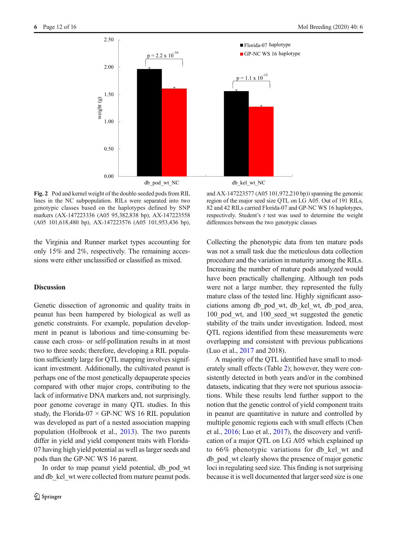<span id="page-11-0"></span>

Fig. 2 Pod and kernel weight of the double-seeded pods from RIL lines in the NC subpopulation. RILs were separated into two genotypic classes based on the haplotypes defined by SNP markers (AX-147223336 (A05 95,382,838 bp), AX-147223558 (A05 101,618,480 bp), AX-147223576 (A05 101,953,436 bp),

the Virginia and Runner market types accounting for only 15% and 2%, respectively. The remaining accessions were either unclassified or classified as mixed.

# **Discussion**

Genetic dissection of agronomic and quality traits in peanut has been hampered by biological as well as genetic constraints. For example, population development in peanut is laborious and time-consuming because each cross- or self-pollination results in at most two to three seeds; therefore, developing a RIL population sufficiently large for QTL mapping involves significant investment. Additionally, the cultivated peanut is perhaps one of the most genetically depauperate species compared with other major crops, contributing to the lack of informative DNA markers and, not surprisingly, poor genome coverage in many QTL studies. In this study, the Florida-07  $\times$  GP-NC WS 16 RIL population was developed as part of a nested association mapping population (Holbrook et al., [2013](#page-15-0)). The two parents differ in yield and yield component traits with Florida-07 having high yield potential as well as larger seeds and pods than the GP-NC WS 16 parent.

In order to map peanut yield potential, db pod wt and db kel wt were collected from mature peanut pods.

and AX-147223577 (A05 101,972,210 bp)) spanning the genomic region of the major seed size QTL on LG A05. Out of 191 RILs, 82 and 42 RILs carried Florida-07 and GP-NC WS 16 haplotypes, respectively. Student's  $t$  test was used to determine the weight differences between the two genotypic classes

Collecting the phenotypic data from ten mature pods was not a small task due the meticulous data collection procedure and the variation in maturity among the RILs. Increasing the number of mature pods analyzed would have been practically challenging. Although ten pods were not a large number, they represented the fully mature class of the tested line. Highly significant associations among db\_pod\_wt, db\_kel\_wt, db\_pod\_area, 100 pod wt, and 100 seed wt suggested the genetic stability of the traits under investigation. Indeed, most QTL regions identified from these measurements were overlapping and consistent with previous publications (Luo et al., [2017](#page-15-0) and 2018).

A majority of the QTL identified have small to moderately small effects (Table [2](#page-7-0)); however, they were consistently detected in both years and/or in the combined datasets, indicating that they were not spurious associations. While these results lend further support to the notion that the genetic control of yield component traits in peanut are quantitative in nature and controlled by multiple genomic regions each with small effects (Chen et al., [2016;](#page-14-0) Luo et al., [2017](#page-15-0)), the discovery and verification of a major QTL on LG A05 which explained up to 66% phenotypic variations for db\_kel\_wt and db\_pod\_wt clearly shows the presence of major genetic loci in regulating seed size. This finding is not surprising because it is well documented that larger seed size is one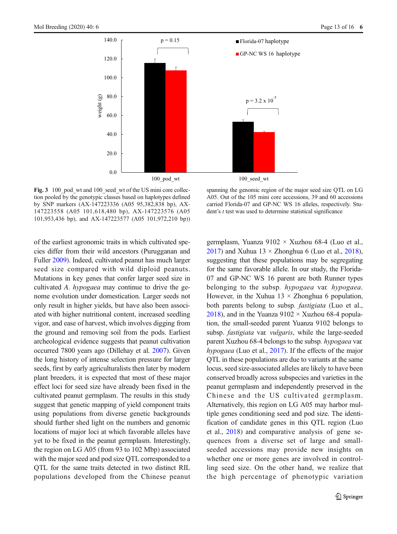<span id="page-12-0"></span>

Fig. 3 100\_pod\_wt and 100\_seed\_wt of the US mini core collection pooled by the genotypic classes based on haplotypes defined by SNP markers (AX-147223336 (A05 95,382,838 bp), AX-147223558 (A05 101,618,480 bp), AX-147223576 (A05 101,953,436 bp), and AX-147223577 (A05 101,972,210 bp))

of the earliest agronomic traits in which cultivated species differ from their wild ancestors (Purugganan and Fuller [2009\)](#page-15-0). Indeed, cultivated peanut has much larger seed size compared with wild diploid peanuts. Mutations in key genes that confer larger seed size in cultivated A. hypogaea may continue to drive the genome evolution under domestication. Larger seeds not only result in higher yields, but have also been associated with higher nutritional content, increased seedling vigor, and ease of harvest, which involves digging from the ground and removing soil from the pods. Earliest archeological evidence suggests that peanut cultivation occurred 7800 years ago (Dillehay et al. [2007\)](#page-14-0). Given the long history of intense selection pressure for larger seeds, first by early agriculturalists then later by modern plant breeders, it is expected that most of these major effect loci for seed size have already been fixed in the cultivated peanut germplasm. The results in this study suggest that genetic mapping of yield component traits using populations from diverse genetic backgrounds should further shed light on the numbers and genomic locations of major loci at which favorable alleles have yet to be fixed in the peanut germplasm. Interestingly, the region on LG A05 (from 93 to 102 Mbp) associated with the major seed and pod size QTL corresponded to a QTL for the same traits detected in two distinct RIL populations developed from the Chinese peanut

spanning the genomic region of the major seed size QTL on LG A05. Out of the 105 mini core accessions, 39 and 60 accessions carried Florida-07 and GP-NC WS 16 alleles, respectively. Student's *t* test was used to determine statistical significance

germplasm, Yuanza 9102 × Xuzhou 68-4 (Luo et al., [2017](#page-15-0)) and Xuhua  $13 \times$  Zhonghua 6 (Luo et al., [2018\)](#page-15-0), suggesting that these populations may be segregating for the same favorable allele. In our study, the Florida-07 and GP-NC WS 16 parent are both Runner types belonging to the subsp. *hypogaea* var. *hypogaea*. However, in the Xuhua  $13 \times$  Zhonghua 6 population, both parents belong to subsp. fastigiata (Luo et al., [2018](#page-15-0)), and in the Yuanza  $9102 \times$  Xuzhou 68-4 population, the small-seeded parent Yuanza 9102 belongs to subsp. fastigiata var. vulgaris, while the large-seeded parent Xuzhou 68-4 belongs to the subsp. hypogaea var. hypogaea (Luo et al., [2017](#page-15-0)). If the effects of the major QTL in these populations are due to variants at the same locus, seed size-associated alleles are likely to have been conserved broadly across subspecies and varieties in the peanut germplasm and independently preserved in the Chinese and the US cultivated germplasm. Alternatively, this region on LG A05 may harbor multiple genes conditioning seed and pod size. The identification of candidate genes in this QTL region (Luo et al., [2018](#page-15-0)) and comparative analysis of gene sequences from a diverse set of large and smallseeded accessions may provide new insights on whether one or more genes are involved in controlling seed size. On the other hand, we realize that the high percentage of phenotypic variation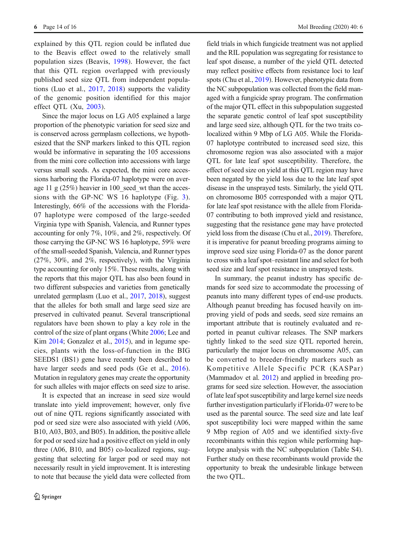explained by this QTL region could be inflated due to the Beavis effect owed to the relatively small population sizes (Beavis, [1998\)](#page-14-0). However, the fact that this QTL region overlapped with previously published seed size QTL from independent populations (Luo et al., [2017](#page-15-0), [2018](#page-15-0)) supports the validity of the genomic position identified for this major effect QTL (Xu, [2003\)](#page-15-0).

Since the major locus on LG A05 explained a large proportion of the phenotypic variation for seed size and is conserved across germplasm collections, we hypothesized that the SNP markers linked to this QTL region would be informative in separating the 105 accessions from the mini core collection into accessions with large versus small seeds. As expected, the mini core accessions harboring the Florida-07 haplotype were on average 11 g  $(25%)$  heavier in 100 seed wt than the accessions with the GP-NC WS 16 haplotype (Fig. [3](#page-12-0)). Interestingly, 66% of the accessions with the Florida-07 haplotype were composed of the large-seeded Virginia type with Spanish, Valencia, and Runner types accounting for only 7%, 10%, and 2%, respectively. Of those carrying the GP-NC WS 16 haplotype, 59% were of the small-seeded Spanish, Valencia, and Runner types (27%, 30%, and 2%, respectively), with the Virginia type accounting for only 15%. These results, along with the reports that this major QTL has also been found in two different subspecies and varieties from genetically unrelated germplasm (Luo et al., [2017,](#page-15-0) [2018](#page-15-0)), suggest that the alleles for both small and large seed size are preserved in cultivated peanut. Several transcriptional regulators have been shown to play a key role in the control of the size of plant organs (White [2006](#page-15-0); Lee and Kim [2014;](#page-15-0) Gonzalez et al., [2015](#page-14-0)), and in legume species, plants with the loss-of-function in the BIG SEEDS1 (BS1) gene have recently been described to have larger seeds and seed pods (Ge et al., [2016](#page-14-0)). Mutation in regulatory genes may create the opportunity for such alleles with major effects on seed size to arise.

It is expected that an increase in seed size would translate into yield improvement; however, only five out of nine QTL regions significantly associated with pod or seed size were also associated with yield (A06, B10, A03, B03, and B05). In addition, the positive allele for pod or seed size had a positive effect on yield in only three (A06, B10, and B05) co-localized regions, suggesting that selecting for larger pod or seed may not necessarily result in yield improvement. It is interesting to note that because the yield data were collected from field trials in which fungicide treatment was not applied and the RIL population was segregating for resistance to leaf spot disease, a number of the yield QTL detected may reflect positive effects from resistance loci to leaf spots (Chu et al., [2019\)](#page-14-0). However, phenotypic data from the NC subpopulation was collected from the field managed with a fungicide spray program. The confirmation of the major QTL effect in this subpopulation suggested the separate genetic control of leaf spot susceptibility and large seed size, although QTL for the two traits colocalized within 9 Mbp of LG A05. While the Florida-07 haplotype contributed to increased seed size, this chromosome region was also associated with a major QTL for late leaf spot susceptibility. Therefore, the effect of seed size on yield at this QTL region may have been negated by the yield loss due to the late leaf spot disease in the unsprayed tests. Similarly, the yield QTL on chromosome B05 corresponded with a major QTL for late leaf spot resistance with the allele from Florida-07 contributing to both improved yield and resistance, suggesting that the resistance gene may have protected yield loss from the disease (Chu et al., [2019](#page-14-0)). Therefore, it is imperative for peanut breeding programs aiming to improve seed size using Florida-07 as the donor parent to cross with a leaf spot–resistant line and select for both seed size and leaf spot resistance in unsprayed tests.

In summary, the peanut industry has specific demands for seed size to accommodate the processing of peanuts into many different types of end-use products. Although peanut breeding has focused heavily on improving yield of pods and seeds, seed size remains an important attribute that is routinely evaluated and reported in peanut cultivar releases. The SNP markers tightly linked to the seed size QTL reported herein, particularly the major locus on chromosome A05, can be converted to breeder-friendly markers such as Kompetitive Allele Specific PCR (KASPar) (Mammadov et al. [2012\)](#page-15-0) and applied in breeding programs for seed size selection. However, the association of late leaf spot susceptibility and large kernel size needs further investigation particularly if Florida-07 were to be used as the parental source. The seed size and late leaf spot susceptibility loci were mapped within the same 9 Mbp region of A05 and we identified sixty-five recombinants within this region while performing haplotype analysis with the NC subpopulation (Table S4). Further study on these recombinants would provide the opportunity to break the undesirable linkage between the two QTL.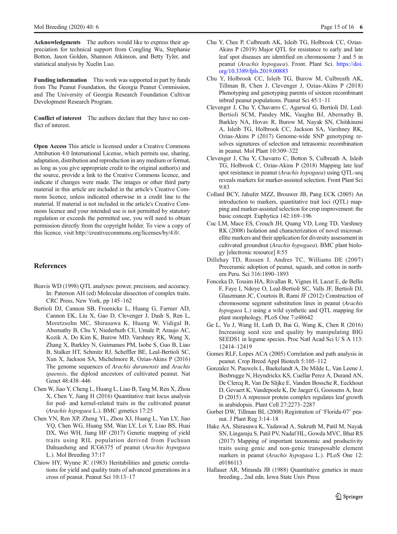<span id="page-14-0"></span>Acknowledgments The authors would like to express their appreciation for technical support from Congling Wu, Stephanie Botton, Jason Golden, Shannon Atkinson, and Betty Tyler, and statistical analysis by Xuelin Luo.

Funding information This work was supported in part by funds from The Peanut Foundation, the Georgia Peanut Commission, and The University of Georgia Research Foundation Cultivar Development Research Program.

Conflict of interest The authors declare that they have no conflict of interest.

Open Access This article is licensed under a Creative Commons Attribution 4.0 International License, which permits use, sharing, adaptation, distribution and reproduction in any medium or format, as long as you give appropriate credit to the original author(s) and the source, provide a link to the Creative Commons licence, and indicate if changes were made. The images or other third party material in this article are included in the article's Creative Commons licence, unless indicated otherwise in a credit line to the material. If material is not included in the article's Creative Commons licence and your intended use is not permitted by statutory regulation or exceeds the permitted use, you will need to obtain permission directly from the copyright holder. To view a copy of this licence, visit http://creativecommons.org/licenses/by/4.0/.

# References

- Beavis WD (1998) QTL analyses: power, precision, and accuracy. In: Paterson AH (ed) Molecular dissection of complex traits. CRC Press, New York, pp 145–162
- Bertioli DJ, Cannon SB, Froenicke L, Huang G, Farmer AD, Cannon EK, Liu X, Gao D, Clevenger J, Dash S, Ren L, Moretzsohn MC, Shirasawa K, Huang W, Vidigal B, Abernathy B, Chu Y, Niederhuth CE, Umale P, Araujo AC, Kozik A, Do Kim K, Burow MD, Varshney RK, Wang X, Zhang X, Barkley N, Guimaraes PM, Isobe S, Guo B, Liao B, Stalker HT, Schmitz RJ, Scheffler BE, Leal-Bertioli SC, Xun X, Jackson SA, Michelmore R, Ozias-Akins P (2016) The genome sequences of Arachis duranensis and Arachis ipaensis, the diploid ancestors of cultivated peanut. Nat Genet 48:438–446
- Chen W, Jiao Y, Cheng L, Huang L, Liao B, Tang M, Ren X, Zhou X, Chen Y, Jiang H (2016) Quantitative trait locus analysis for pod- and kernel-related traits in the cultivated peanut (Arachis hypogaea L.). BMC genetics 17:25
- Chen YN, Ren XP, Zheng YL, Zhou XJ, Huang L, Yan LY, Jiao YQ, Chen WG, Huang SM, Wan LY, Lei Y, Liao BS, Huai DX, Wei WH, Jiang HF (2017) Genetic mapping of yield traits using RIL population derived from Fuchuan Dahuasheng and ICG6375 of peanut (Arachis hypogaea L.). Mol Breeding 37:17
- Chiow HY, Wynne JC (1983) Heritabilities and genetic correlations for yield and quality traits of advanced generations in a cross of peanut. Peanut Sci 10:13–17
- Chu Y, Chee P, Culbreath AK, Isleib TG, Holbrook CC, Ozias-Akins P (2019) Major QTL for resistance to early and late leaf spot diseases are identified on chromosome 3 and 5 in peanut (Arachis hypogaea). Front. Plant Sci. [https://doi.](https://doi.org/10.3389/fpls.2019.00883) [org/10.3389/fpls.2019.00883](https://doi.org/10.3389/fpls.2019.00883)
- Chu Y, Holbrook CC, Isleib TG, Burow M, Culbreath AK, Tillman B, Chen J, Clevenger J, Ozias-Akins P (2018) Phenotyping and genotyping parents of sixteen recombinant inbred peanut populations. Peanut Sci 45:1–11
- Clevenger J, Chu Y, Chavarro C, Agarwal G, Bertioli DJ, Leal-Bertioli SCM, Pandey MK, Vaughn BJ, Abernathy B, Barkley NA, Hovav R, Burow M, Nayak SN, Chitikineni A, Isleib TG, Holbrook CC, Jackson SA, Varshney RK, Ozias-Akins P (2017) Genome-wide SNP genotyping resolves signatures of selection and tetrasomic recombination in peanut. Mol Plant 10:309–322
- Clevenger J, Chu Y, Chavarro C, Botton S, Culbreath A, Isleib TG, Holbrook C, Ozias-Akins P (2018) Mapping late leaf spot resistance in peanut (Arachis hypogaea) using QTL-seq reveals markers for marker-assisted selection. Front Plant Sci 9:83
- Collard BCY, Jahufer MZZ, Brouwer JB, Pang ECK (2005) An introduction to markers, quantitative trait loci (QTL) mapping and marker-assisted selection for crop improvement: the basic concept. Euphytica 142:169–196
- Cuc LM, Mace ES, Crouch JH, Quang VD, Long TD, Varshney RK (2008) Isolation and characterization of novel microsatellite markers and their application for diversity assessment in cultivated groundnut (Arachis hypogaea). BMC plant biology [electronic resource] 8:55
- Dillehay TD, Rossen J, Andres TC, Williams DE (2007) Preceramic adoption of peanut, squash, and cotton in northern Peru. Sci 316:1890–1893
- Fonceka D, Tossim HA, Rivallan R, Vignes H, Lacut E, de Bellis F, Faye I, Ndoye O, Leal-Bertioli SC, Valls JF, Bertioli DJ, Glaszmann JC, Courtois B, Rami JF (2012) Construction of chromosome segment substitution lines in peanut (Arachis hypogaea L.) using a wild synthetic and QTL mapping for plant morphology. PLoS One 7:e48642
- Ge L, Yu J, Wang H, Luth D, Bai G, Wang K, Chen R (2016) Increasing seed size and quality by manipulating BIG SEEDS1 in legume species. Proc Natl Acad Sci U S A 113: 12414–12419
- Gomes RLF, Lopes ACA (2005) Correlation and path analysis in peanut. Crop Breed Appl Biotech 5:105–112
- Gonzalez N, Pauwels L, Baekelandt A, De Milde L, Van Leene J, Besbrugge N, Heyndrickx KS, Cuellar Perez A, Durand AN, De Clercq R, Van De Slijke E, Vanden Bossche R, Eeckhout D, Gevaert K, Vandepoele K, De Jaeger G, Goossens A, Inze D (2015) A repressor protein complex regulates leaf growth in arabidopsis. Plant Cell 27:2273–2287
- Gorbet DW, Tillman BL (2008) Registration of 'Florida-07' peanut. J Plant Reg 3:14–18
- Hake AA, Shirasawa K, Yadawad A, Sukruth M, Patil M, Nayak SN, Lingaraju S, Patil PV, Nadaf HL, Gowda MVC, Bhat RS (2017) Mapping of important taxonomic and productivity traits using genic and non-genic transposable element markers in peanut (Arachis hypogaea L.). PLoS One 12: e0186113
- Hallauer AR, Miranda JB (1988) Quantitative genetics in maze breeding., 2nd edn. Iowa State Univ Press